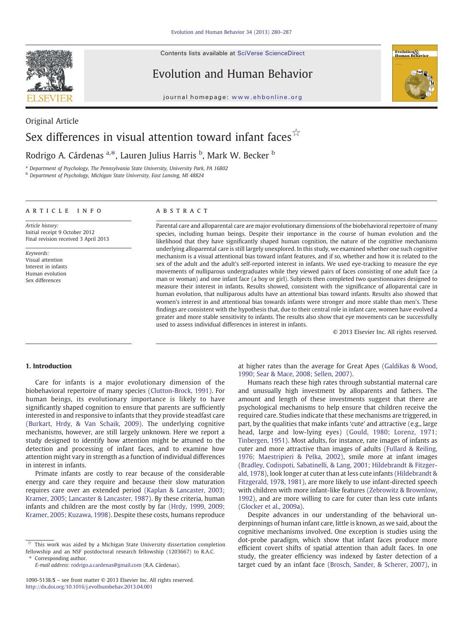Contents lists available at SciVerse ScienceDirect



Evolution and Human Behavior



journal homepage: www.ehbonline.org

## Original Article Sex differences in visual attention toward infant faces $\frac{1}{2}$

Rodrigo A. Cárdenas <sup>a, $\ast$ </sup>, Lauren Julius Harris <sup>b</sup>, Mark W. Becker <sup>b</sup>

a Department of Psychology, The Pennsylvania State University, University Park, PA 16802

<sup>b</sup> Department of Psychology, Michigan State University, East Lansing, MI 48824

### article info abstract

Article history: Initial receipt 9 October 2012 Final revision received 3 April 2013

Keywords: Visual attention Interest in infants Human evolution Sex differences

Parental care and alloparental care are major evolutionary dimensions of the biobehavioral repertoire of many species, including human beings. Despite their importance in the course of human evolution and the likelihood that they have significantly shaped human cognition, the nature of the cognitive mechanisms underlying alloparental care is still largely unexplored. In this study, we examined whether one such cognitive mechanism is a visual attentional bias toward infant features, and if so, whether and how it is related to the sex of the adult and the adult's self-reported interest in infants. We used eye-tracking to measure the eye movements of nulliparous undergraduates while they viewed pairs of faces consisting of one adult face (a man or woman) and one infant face (a boy or girl). Subjects then completed two questionnaires designed to measure their interest in infants. Results showed, consistent with the significance of alloparental care in human evolution, that nulliparous adults have an attentional bias toward infants. Results also showed that women's interest in and attentional bias towards infants were stronger and more stable than men's. These findings are consistent with the hypothesis that, due to their central role in infant care, women have evolved a greater and more stable sensitivity to infants. The results also show that eye movements can be successfully used to assess individual differences in interest in infants.

© 2013 Elsevier Inc. All rights reserved.

### 1. Introduction

Care for infants is a major evolutionary dimension of the biobehavioral repertoire of many species [\(Clutton-Brock, 1991\)](#page--1-0). For human beings, its evolutionary importance is likely to have significantly shaped cognition to ensure that parents are sufficiently interested in and responsive to infants that they provide steadfast care ([Burkart, Hrdy, & Van Schaik, 2009](#page--1-0)). The underlying cognitive mechanisms, however, are still largely unknown. Here we report a study designed to identify how attention might be attuned to the detection and processing of infant faces, and to examine how attention might vary in strength as a function of individual differences in interest in infants.

Primate infants are costly to rear because of the considerable energy and care they require and because their slow maturation requires care over an extended period [\(Kaplan & Lancaster, 2003;](#page--1-0) [Kramer, 2005; Lancaster & Lancaster, 1987](#page--1-0)). By these criteria, human infants and children are the most costly by far ([Hrdy, 1999, 2009;](#page--1-0) [Kramer, 2005; Kuzawa, 1998](#page--1-0)). Despite these costs, humans reproduce

E-mail address: [rodrigo.a.cardenas@gmail.com](mailto:rodrigo.a.cardenas@gmail.com) (R.A. Cárdenas).

at higher rates than the average for Great Apes [\(Galdikas & Wood,](#page--1-0) [1990; Sear & Mace, 2008; Sellen, 2007\)](#page--1-0).

Humans reach these high rates through substantial maternal care and unusually high investment by alloparents and fathers. The amount and length of these investments suggest that there are psychological mechanisms to help ensure that children receive the required care. Studies indicate that these mechanisms are triggered, in part, by the qualities that make infants 'cute' and attractive (e.g., large head, large and low-lying eyes) [\(Gould, 1980; Lorenz, 1971;](#page--1-0) [Tinbergen, 1951\)](#page--1-0). Most adults, for instance, rate images of infants as cuter and more attractive than images of adults [\(Fullard & Reiling,](#page--1-0) [1976; Maestripieri & Pelka, 2002\)](#page--1-0), smile more at infant images ([Bradley, Codispoti, Sabatinelli, & Lang, 2001; Hildebrandt & Fitzger](#page--1-0)[ald, 1978](#page--1-0)), look longer at cuter than at less cute infants ([Hildebrandt &](#page--1-0) [Fitzgerald, 1978, 1981\)](#page--1-0), are more likely to use infant-directed speech with children with more infant-like features ([Zebrowitz & Brownlow,](#page--1-0) [1992\)](#page--1-0), and are more willing to care for cuter than less cute infants ([Glocker et al., 2009](#page--1-0)a).

Despite advances in our understanding of the behavioral underpinnings of human infant care, little is known, as we said, about the cognitive mechanisms involved. One exception is studies using the dot-probe paradigm, which show that infant faces produce more efficient covert shifts of spatial attention than adult faces. In one study, the greater efficiency was indexed by faster detection of a target cued by an infant face [\(Brosch, Sander, & Scherer, 2007\)](#page--1-0), in

 $\overrightarrow{x}$  This work was aided by a Michigan State University dissertation completion fellowship and an NSF postdoctoral research fellowship (1203667) to R.A.C. Corresponding author.

<sup>1090-5138/\$</sup> – see front matter © 2013 Elsevier Inc. All rights reserved. <http://dx.doi.org/10.1016/j.evolhumbehav.2013.04.001>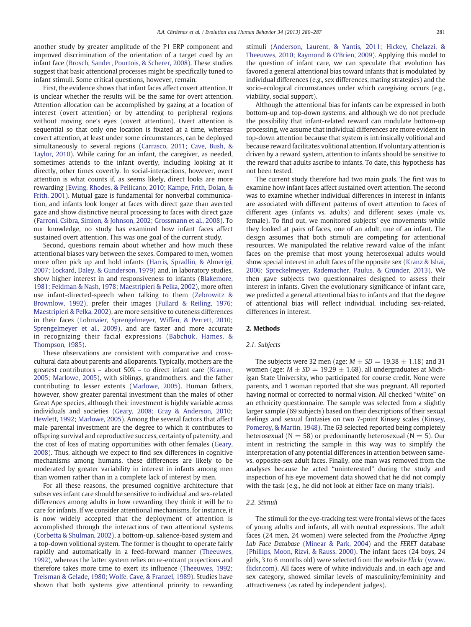another study by greater amplitude of the P1 ERP component and improved discrimination of the orientation of a target cued by an infant face ([Brosch, Sander, Pourtois, & Scherer, 2008\)](#page--1-0). These studies suggest that basic attentional processes might be specifically tuned to infant stimuli. Some critical questions, however, remain.

First, the evidence shows that infant faces affect covert attention. It is unclear whether the results will be the same for overt attention. Attention allocation can be accomplished by gazing at a location of interest (overt attention) or by attending to peripheral regions without moving one's eyes (covert attention). Overt attention is sequential so that only one location is fixated at a time, whereas covert attention, at least under some circumstances, can be deployed simultaneously to several regions [\(Carrasco, 2011; Cave, Bush, &](#page--1-0) [Taylor, 2010\)](#page--1-0). While caring for an infant, the caregiver, as needed, sometimes attends to the infant overtly, including looking at it directly, other times covertly. In social-interactions, however, overt attention is what counts if, as seems likely, direct looks are more rewarding [\(Ewing, Rhodes, & Pellicano, 2010; Kampe, Frith, Dolan, &](#page--1-0) [Frith, 2001](#page--1-0)). Mutual gaze is fundamental for nonverbal communication, and infants look longer at faces with direct gaze than averted gaze and show distinctive neural processing to faces with direct gaze [\(Farroni, Csibra, Simion, & Johnson, 2002; Grossmann et al., 2008](#page--1-0)). To our knowledge, no study has examined how infant faces affect sustained overt attention. This was one goal of the current study.

Second, questions remain about whether and how much these attentional biases vary between the sexes. Compared to men, women more often pick up and hold infants [\(Harris, Spradlin, & Almerigi,](#page--1-0) [2007; Lockard, Daley, & Gunderson, 1979](#page--1-0)) and, in laboratory studies, show higher interest in and responsiveness to infants [\(Blakemore,](#page--1-0) [1981; Feldman & Nash, 1978; Maestripieri & Pelka, 2002](#page--1-0)), more often use infant-directed-speech when talking to them ([Zebrowitz &](#page--1-0) [Brownlow, 1992](#page--1-0)), prefer their images ([Fullard & Reiling, 1976;](#page--1-0) [Maestripieri & Pelka, 2002\)](#page--1-0), are more sensitive to cuteness differences in their faces ([Lobmaier, Sprengelmeyer, Wiffen, & Perrett, 2010;](#page--1-0) [Sprengelmeyer et al., 2009](#page--1-0)), and are faster and more accurate in recognizing their facial expressions [\(Babchuk, Hames, &](#page--1-0) [Thompson, 1985](#page--1-0)).

These observations are consistent with comparative and crosscultural data about parents and alloparents. Typically, mothers are the greatest contributors – about 50% – to direct infant care ([Kramer,](#page--1-0) [2005; Marlowe, 2005](#page--1-0)), with siblings, grandmothers, and the father contributing to lesser extents ([Marlowe, 2005](#page--1-0)). Human fathers, however, show greater parental investment than the males of other Great Ape species, although their investment is highly variable across individuals and societies [\(Geary, 2008; Gray & Anderson, 2010;](#page--1-0) [Hewlett, 1992; Marlowe, 2005](#page--1-0)). Among the several factors that affect male parental investment are the degree to which it contributes to offspring survival and reproductive success, certainty of paternity, and the cost of loss of mating opportunities with other females [\(Geary,](#page--1-0) [2008\)](#page--1-0). Thus, although we expect to find sex differences in cognitive mechanisms among humans, these differences are likely to be moderated by greater variability in interest in infants among men than women rather than in a complete lack of interest by men.

For all these reasons, the presumed cognitive architecture that subserves infant care should be sensitive to individual and sex-related differences among adults in how rewarding they think it will be to care for infants. If we consider attentional mechanisms, for instance, it is now widely accepted that the deployment of attention is accomplished through the interactions of two attentional systems [\(Corbetta & Shulman, 2002\)](#page--1-0), a bottom-up, salience-based system and a top-down volitional system. The former is thought to operate fairly rapidly and automatically in a feed-forward manner [\(Theeuwes,](#page--1-0) [1992\)](#page--1-0), whereas the latter system relies on re-entrant projections and therefore takes more time to exert its influence ([Theeuwes, 1992;](#page--1-0) [Treisman & Gelade, 1980; Wolfe, Cave, & Franzel, 1989](#page--1-0)). Studies have shown that both systems give attentional priority to rewarding stimuli ([Anderson, Laurent, & Yantis, 2011; Hickey, Chelazzi, &](#page--1-0) [Theeuwes, 2010; Raymond & O](#page--1-0)'Brien, 2009). Applying this model to the question of infant care, we can speculate that evolution has favored a general attentional bias toward infants that is modulated by individual differences (e.g., sex differences, mating strategies) and the socio-ecological circumstances under which caregiving occurs (e.g., viability, social support).

Although the attentional bias for infants can be expressed in both bottom-up and top-down systems, and although we do not preclude the possibility that infant-related reward can modulate bottom-up processing, we assume that individual differences are more evident in top-down attention because that system is intrinsically volitional and because reward facilitates volitional attention. If voluntary attention is driven by a reward system, attention to infants should be sensitive to the reward that adults ascribe to infants. To date, this hypothesis has not been tested.

The current study therefore had two main goals. The first was to examine how infant faces affect sustained overt attention. The second was to examine whether individual differences in interest in infants are associated with different patterns of overt attention to faces of different ages (infants vs. adults) and different sexes (male vs. female). To find out, we monitored subjects' eye movements while they looked at pairs of faces, one of an adult, one of an infant. The design assumes that both stimuli are competing for attentional resources. We manipulated the relative reward value of the infant faces on the premise that most young heterosexual adults would show special interest in adult faces of the opposite sex [\(Kranz & Ishai,](#page--1-0) [2006; Spreckelmeyer, Rademacher, Paulus, & Gründer, 2013\)](#page--1-0). We then gave subjects two questionnaires designed to assess their interest in infants. Given the evolutionary significance of infant care, we predicted a general attentional bias to infants and that the degree of attentional bias will reflect individual, including sex-related, differences in interest.

### 2. Methods

#### 2.1. Subjects

The subjects were 32 men (age:  $M \pm SD = 19.38 \pm 1.18$ ) and 31 women (age:  $M \pm SD = 19.29 \pm 1.68$ ), all undergraduates at Michigan State University, who participated for course credit. None were parents, and 1 woman reported that she was pregnant. All reported having normal or corrected to normal vision. All checked "white" on an ethnicity questionnaire. The sample was selected from a slightly larger sample (69 subjects) based on their descriptions of their sexual feelings and sexual fantasies on two 7-point Kinsey scales ([Kinsey,](#page--1-0) [Pomeroy, & Martin, 1948\)](#page--1-0). The 63 selected reported being completely heterosexual ( $N = 58$ ) or predominantly heterosexual ( $N = 5$ ). Our intent in restricting the sample in this way was to simplify the interpretation of any potential differences in attention between samevs. opposite-sex adult faces. Finally, one man was removed from the analyses because he acted "uninterested" during the study and inspection of his eye movement data showed that he did not comply with the task (e.g., he did not look at either face on many trials).

#### 2.2. Stimuli

The stimuli for the eye-tracking test were frontal views of the faces of young adults and infants, all with neutral expressions. The adult faces (24 men, 24 women) were selected from the Productive Aging Lab Face Database [\(Minear & Park, 2004](#page--1-0)) and the FERET database [\(Phillips, Moon, Rizvi, & Rauss, 2000\)](#page--1-0). The infant faces (24 boys, 24 girls, 3 to 6 months old) were selected from the website Flickr [\(www.](http://www.flickr.com) fl[ickr.com](http://www.flickr.com)). All faces were of white individuals and, in each age and sex category, showed similar levels of masculinity/femininity and attractiveness (as rated by independent judges).